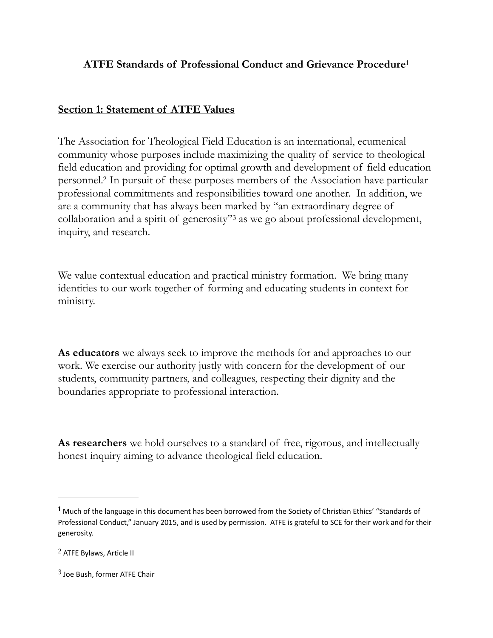# <span id="page-0-3"></span>**ATFE Standards of Professional Conduct and Grievance Procedur[e1](#page-0-0)**

## **Section 1: Statement of ATFE Values**

<span id="page-0-4"></span>The Association for Theological Field Education is an international, ecumenical community whose purposes include maximizing the quality of service to theological field education and providing for optimal growth and development of field education personnel.<sup>[2](#page-0-1)</sup> In pursuit of these purposes members of the Association have particular professional commitments and responsibilities toward one another. In addition, we are a community that has always been marked by "an extraordinary degree of collaboration and a spirit of generosity"<sup>[3](#page-0-2)</sup> as we go about professional development, inquiry, and research.

<span id="page-0-5"></span>We value contextual education and practical ministry formation. We bring many identities to our work together of forming and educating students in context for ministry.

**As educators** we always seek to improve the methods for and approaches to our work. We exercise our authority justly with concern for the development of our students, community partners, and colleagues, respecting their dignity and the boundaries appropriate to professional interaction.

**As researchers** we hold ourselves to a standard of free, rigorous, and intellectually honest inquiry aiming to advance theological field education.

<span id="page-0-0"></span><sup>&</sup>lt;sup>[1](#page-0-3)</sup> Much of the language in this document has been borrowed from the Society of Christian Ethics' "Standards of Professional Conduct," January 2015, and is used by permission. ATFE is grateful to SCE for their work and for their generosity.

<span id="page-0-1"></span> $2$  ATFE Bylaws, Article II

<span id="page-0-2"></span> $3$  Joe Bush, former ATFE Chair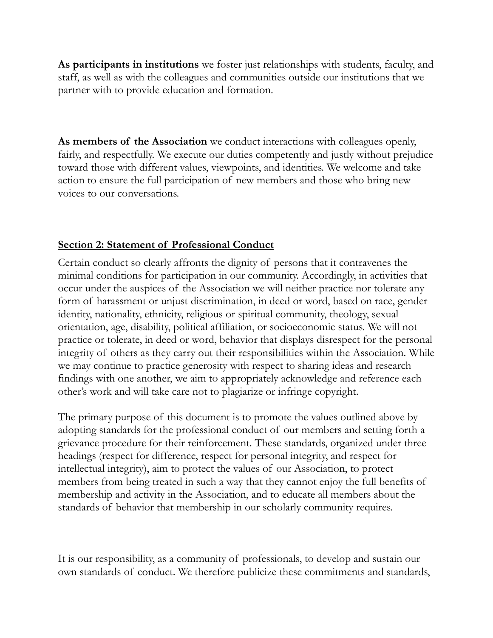**As participants in institutions** we foster just relationships with students, faculty, and staff, as well as with the colleagues and communities outside our institutions that we partner with to provide education and formation.

**As members of the Association** we conduct interactions with colleagues openly, fairly, and respectfully. We execute our duties competently and justly without prejudice toward those with different values, viewpoints, and identities. We welcome and take action to ensure the full participation of new members and those who bring new voices to our conversations.

# **Section 2: Statement of Professional Conduct**

Certain conduct so clearly affronts the dignity of persons that it contravenes the minimal conditions for participation in our community. Accordingly, in activities that occur under the auspices of the Association we will neither practice nor tolerate any form of harassment or unjust discrimination, in deed or word, based on race, gender identity, nationality, ethnicity, religious or spiritual community, theology, sexual orientation, age, disability, political affiliation, or socioeconomic status. We will not practice or tolerate, in deed or word, behavior that displays disrespect for the personal integrity of others as they carry out their responsibilities within the Association. While we may continue to practice generosity with respect to sharing ideas and research findings with one another, we aim to appropriately acknowledge and reference each other's work and will take care not to plagiarize or infringe copyright.

The primary purpose of this document is to promote the values outlined above by adopting standards for the professional conduct of our members and setting forth a grievance procedure for their reinforcement. These standards, organized under three headings (respect for difference, respect for personal integrity, and respect for intellectual integrity), aim to protect the values of our Association, to protect members from being treated in such a way that they cannot enjoy the full benefits of membership and activity in the Association, and to educate all members about the standards of behavior that membership in our scholarly community requires.

It is our responsibility, as a community of professionals, to develop and sustain our own standards of conduct. We therefore publicize these commitments and standards,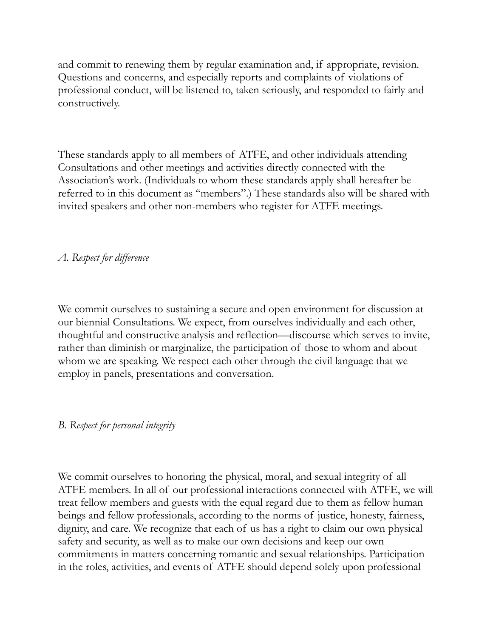and commit to renewing them by regular examination and, if appropriate, revision. Questions and concerns, and especially reports and complaints of violations of professional conduct, will be listened to, taken seriously, and responded to fairly and constructively.

These standards apply to all members of ATFE, and other individuals attending Consultations and other meetings and activities directly connected with the Association's work. (Individuals to whom these standards apply shall hereafter be referred to in this document as "members".) These standards also will be shared with invited speakers and other non-members who register for ATFE meetings.

*A. Respect for difference* 

We commit ourselves to sustaining a secure and open environment for discussion at our biennial Consultations. We expect, from ourselves individually and each other, thoughtful and constructive analysis and reflection—discourse which serves to invite, rather than diminish or marginalize, the participation of those to whom and about whom we are speaking. We respect each other through the civil language that we employ in panels, presentations and conversation.

### *B. Respect for personal integrity*

We commit ourselves to honoring the physical, moral, and sexual integrity of all ATFE members. In all of our professional interactions connected with ATFE, we will treat fellow members and guests with the equal regard due to them as fellow human beings and fellow professionals, according to the norms of justice, honesty, fairness, dignity, and care. We recognize that each of us has a right to claim our own physical safety and security, as well as to make our own decisions and keep our own commitments in matters concerning romantic and sexual relationships. Participation in the roles, activities, and events of ATFE should depend solely upon professional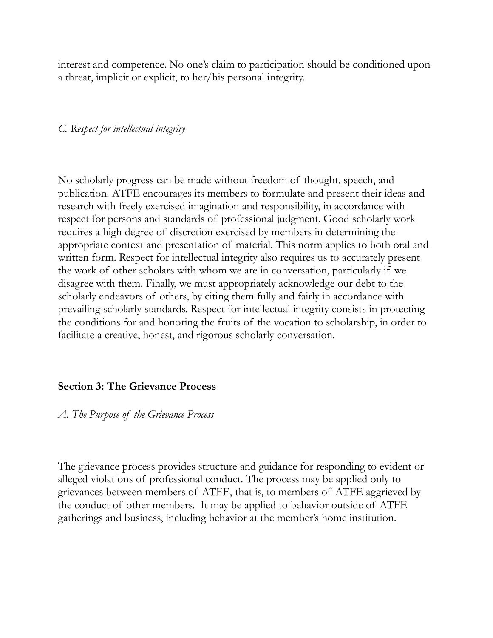interest and competence. No one's claim to participation should be conditioned upon a threat, implicit or explicit, to her/his personal integrity.

#### *C. Respect for intellectual integrity*

No scholarly progress can be made without freedom of thought, speech, and publication. ATFE encourages its members to formulate and present their ideas and research with freely exercised imagination and responsibility, in accordance with respect for persons and standards of professional judgment. Good scholarly work requires a high degree of discretion exercised by members in determining the appropriate context and presentation of material. This norm applies to both oral and written form. Respect for intellectual integrity also requires us to accurately present the work of other scholars with whom we are in conversation, particularly if we disagree with them. Finally, we must appropriately acknowledge our debt to the scholarly endeavors of others, by citing them fully and fairly in accordance with prevailing scholarly standards. Respect for intellectual integrity consists in protecting the conditions for and honoring the fruits of the vocation to scholarship, in order to facilitate a creative, honest, and rigorous scholarly conversation.

### **Section 3: The Grievance Process**

#### *A. The Purpose of the Grievance Process*

The grievance process provides structure and guidance for responding to evident or alleged violations of professional conduct. The process may be applied only to grievances between members of ATFE, that is, to members of ATFE aggrieved by the conduct of other members. It may be applied to behavior outside of ATFE gatherings and business, including behavior at the member's home institution.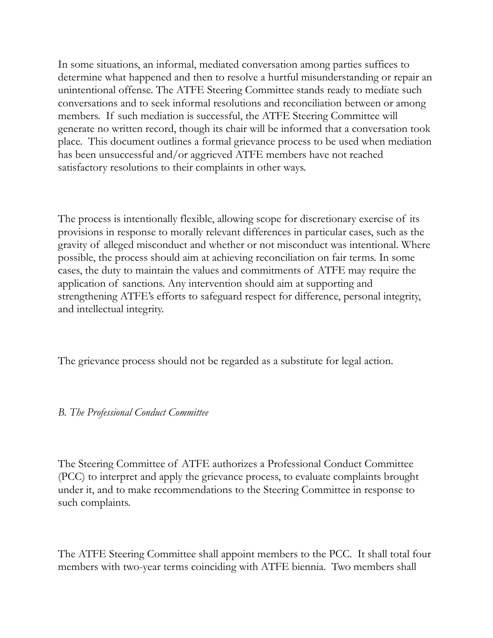In some situations, an informal, mediated conversation among parties suffices to determine what happened and then to resolve a hurtful misunderstanding or repair an unintentional offense. The ATFE Steering Committee stands ready to mediate such conversations and to seek informal resolutions and reconciliation between or among members. If such mediation is successful, the ATFE Steering Committee will generate no written record, though its chair will be informed that a conversation took place. This document outlines a formal grievance process to be used when mediation has been unsuccessful and/or aggrieved ATFE members have not reached satisfactory resolutions to their complaints in other ways.

The process is intentionally flexible, allowing scope for discretionary exercise of its provisions in response to morally relevant differences in particular cases, such as the gravity of alleged misconduct and whether or not misconduct was intentional. Where possible, the process should aim at achieving reconciliation on fair terms. In some cases, the duty to maintain the values and commitments of ATFE may require the application of sanctions. Any intervention should aim at supporting and strengthening ATFE's efforts to safeguard respect for difference, personal integrity, and intellectual integrity.

The grievance process should not be regarded as a substitute for legal action.

# *B. The Professional Conduct Committee*

The Steering Committee of ATFE authorizes a Professional Conduct Committee (PCC) to interpret and apply the grievance process, to evaluate complaints brought under it, and to make recommendations to the Steering Committee in response to such complaints.

The ATFE Steering Committee shall appoint members to the PCC. It shall total four members with two-year terms coinciding with ATFE biennia. Two members shall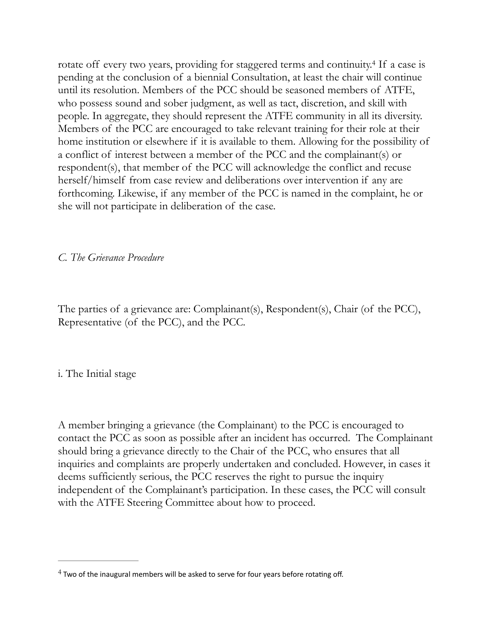<span id="page-5-1"></span>rotate off every two years, providing for staggered terms and continuity.<sup>[4](#page-5-0)</sup> If a case is pending at the conclusion of a biennial Consultation, at least the chair will continue until its resolution. Members of the PCC should be seasoned members of ATFE, who possess sound and sober judgment, as well as tact, discretion, and skill with people. In aggregate, they should represent the ATFE community in all its diversity. Members of the PCC are encouraged to take relevant training for their role at their home institution or elsewhere if it is available to them. Allowing for the possibility of a conflict of interest between a member of the PCC and the complainant(s) or respondent(s), that member of the PCC will acknowledge the conflict and recuse herself/himself from case review and deliberations over intervention if any are forthcoming. Likewise, if any member of the PCC is named in the complaint, he or she will not participate in deliberation of the case.

*C. The Grievance Procedure* 

The parties of a grievance are: Complainant(s), Respondent(s), Chair (of the PCC), Representative (of the PCC), and the PCC.

i. The Initial stage

A member bringing a grievance (the Complainant) to the PCC is encouraged to contact the PCC as soon as possible after an incident has occurred. The Complainant should bring a grievance directly to the Chair of the PCC, who ensures that all inquiries and complaints are properly undertaken and concluded. However, in cases it deems sufficiently serious, the PCC reserves the right to pursue the inquiry independent of the Complainant's participation. In these cases, the PCC will consult with the ATFE Steering Committee about how to proceed.

<span id="page-5-0"></span> $4$  Two of the inaugural members will be asked to serve for four years before rotating off.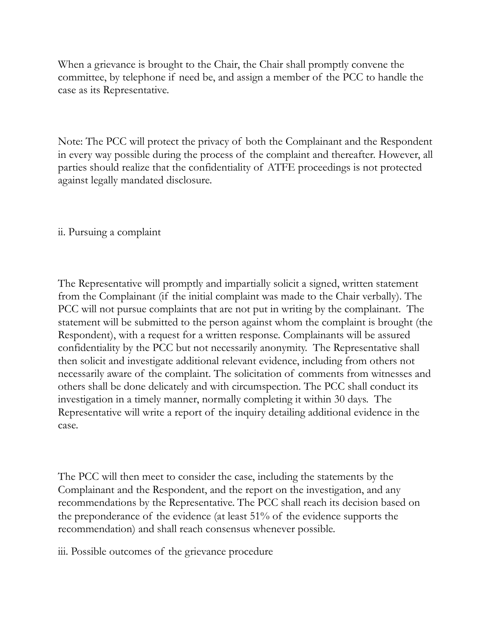When a grievance is brought to the Chair, the Chair shall promptly convene the committee, by telephone if need be, and assign a member of the PCC to handle the case as its Representative.

Note: The PCC will protect the privacy of both the Complainant and the Respondent in every way possible during the process of the complaint and thereafter. However, all parties should realize that the confidentiality of ATFE proceedings is not protected against legally mandated disclosure.

### ii. Pursuing a complaint

The Representative will promptly and impartially solicit a signed, written statement from the Complainant (if the initial complaint was made to the Chair verbally). The PCC will not pursue complaints that are not put in writing by the complainant. The statement will be submitted to the person against whom the complaint is brought (the Respondent), with a request for a written response. Complainants will be assured confidentiality by the PCC but not necessarily anonymity. The Representative shall then solicit and investigate additional relevant evidence, including from others not necessarily aware of the complaint. The solicitation of comments from witnesses and others shall be done delicately and with circumspection. The PCC shall conduct its investigation in a timely manner, normally completing it within 30 days. The Representative will write a report of the inquiry detailing additional evidence in the case.

The PCC will then meet to consider the case, including the statements by the Complainant and the Respondent, and the report on the investigation, and any recommendations by the Representative. The PCC shall reach its decision based on the preponderance of the evidence (at least 51% of the evidence supports the recommendation) and shall reach consensus whenever possible.

iii. Possible outcomes of the grievance procedure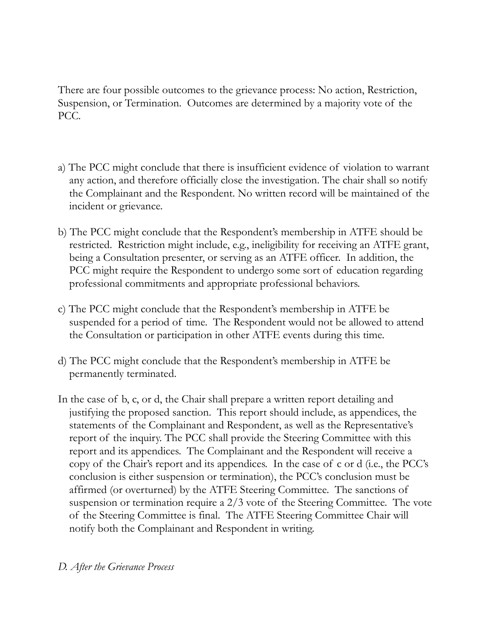There are four possible outcomes to the grievance process: No action, Restriction, Suspension, or Termination. Outcomes are determined by a majority vote of the PCC.

- a) The PCC might conclude that there is insufficient evidence of violation to warrant any action, and therefore officially close the investigation. The chair shall so notify the Complainant and the Respondent. No written record will be maintained of the incident or grievance.
- b) The PCC might conclude that the Respondent's membership in ATFE should be restricted. Restriction might include, e.g., ineligibility for receiving an ATFE grant, being a Consultation presenter, or serving as an ATFE officer. In addition, the PCC might require the Respondent to undergo some sort of education regarding professional commitments and appropriate professional behaviors.
- c) The PCC might conclude that the Respondent's membership in ATFE be suspended for a period of time. The Respondent would not be allowed to attend the Consultation or participation in other ATFE events during this time.
- d) The PCC might conclude that the Respondent's membership in ATFE be permanently terminated.
- In the case of b, c, or d, the Chair shall prepare a written report detailing and justifying the proposed sanction. This report should include, as appendices, the statements of the Complainant and Respondent, as well as the Representative's report of the inquiry. The PCC shall provide the Steering Committee with this report and its appendices. The Complainant and the Respondent will receive a copy of the Chair's report and its appendices. In the case of c or d (i.e., the PCC's conclusion is either suspension or termination), the PCC's conclusion must be affirmed (or overturned) by the ATFE Steering Committee. The sanctions of suspension or termination require a 2/3 vote of the Steering Committee. The vote of the Steering Committee is final. The ATFE Steering Committee Chair will notify both the Complainant and Respondent in writing.

### *D. After the Grievance Process*